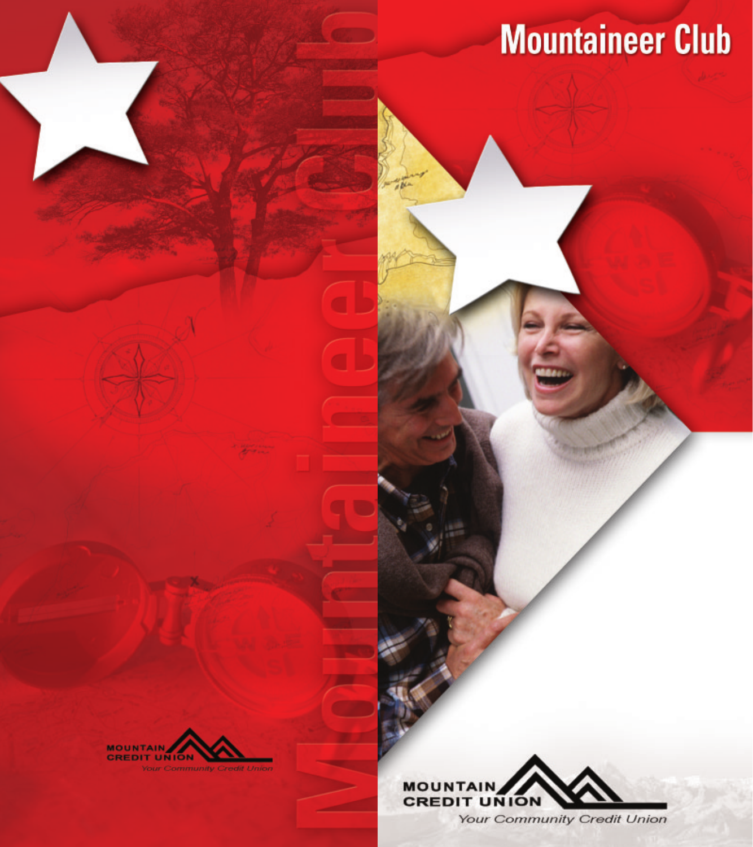# **Mountaineer Club**





Your Community Credit Union